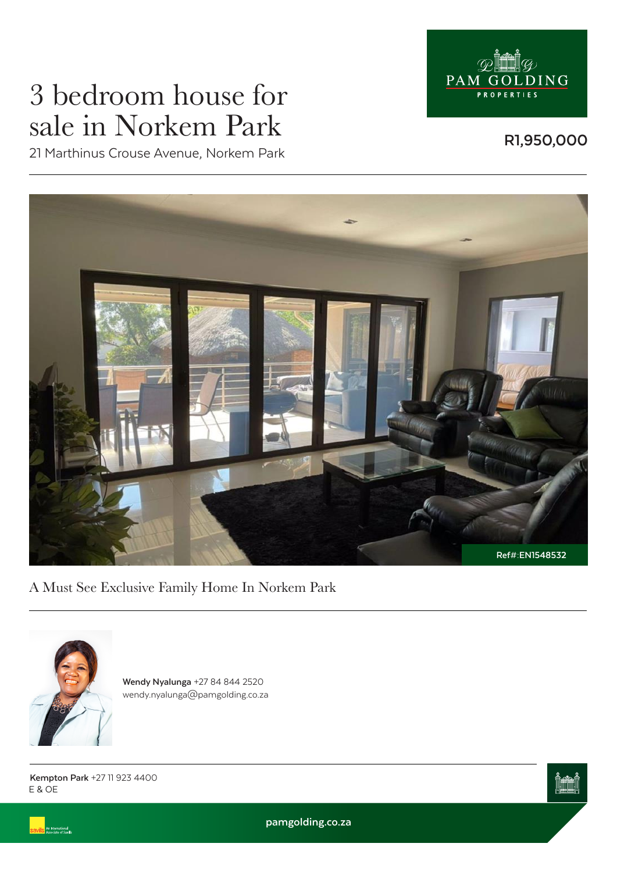

# 3 bedroom house for sale in Norkem Park

**R1,950,000**

21 Marthinus Crouse Avenue, Norkem Park



A Must See Exclusive Family Home In Norkem Park



.<br>An International<br>Associate of Savills

**Wendy Nyalunga** +27 84 844 2520 wendy.nyalunga@pamgolding.co.za

E & OE **Kempton Park** +27 11 923 4400



**pamgolding.co.za**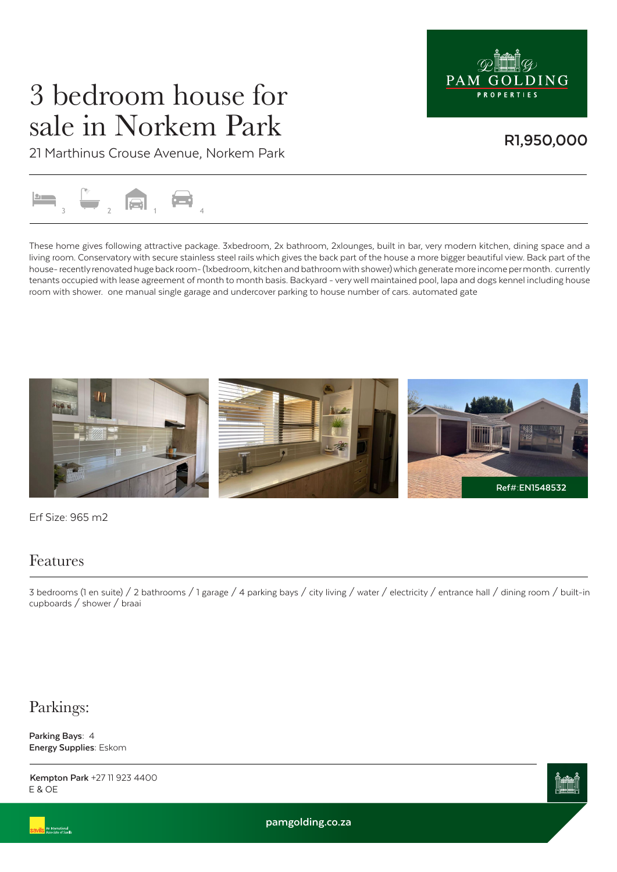

## 3 bedroom house for sale in Norkem Park

### **R1,950,000**

21 Marthinus Crouse Avenue, Norkem Park



These home gives following attractive package. 3xbedroom, 2x bathroom, 2xlounges, built in bar, very modern kitchen, dining space and a living room. Conservatory with secure stainless steel rails which gives the back part of the house a more bigger beautiful view. Back part of the house- recently renovated huge back room- (1xbedroom, kitchen and bathroom with shower) which generate more income per month. currently tenants occupied with lease agreement of month to month basis. Backyard - very well maintained pool, lapa and dogs kennel including house room with shower. one manual single garage and undercover parking to house number of cars. automated gate



Erf Size: 965 m2

#### Features

3 bedrooms (1 en suite) / 2 bathrooms / 1 garage / 4 parking bays / city living / water / electricity / entrance hall / dining room / built-in cupboards / shower / braai

### Parkings:

**Parking Bays:** 4 **Energy Supplies:** Eskom

E & OE **Kempton Park** +27 11 923 4400



**pamgolding.co.za**